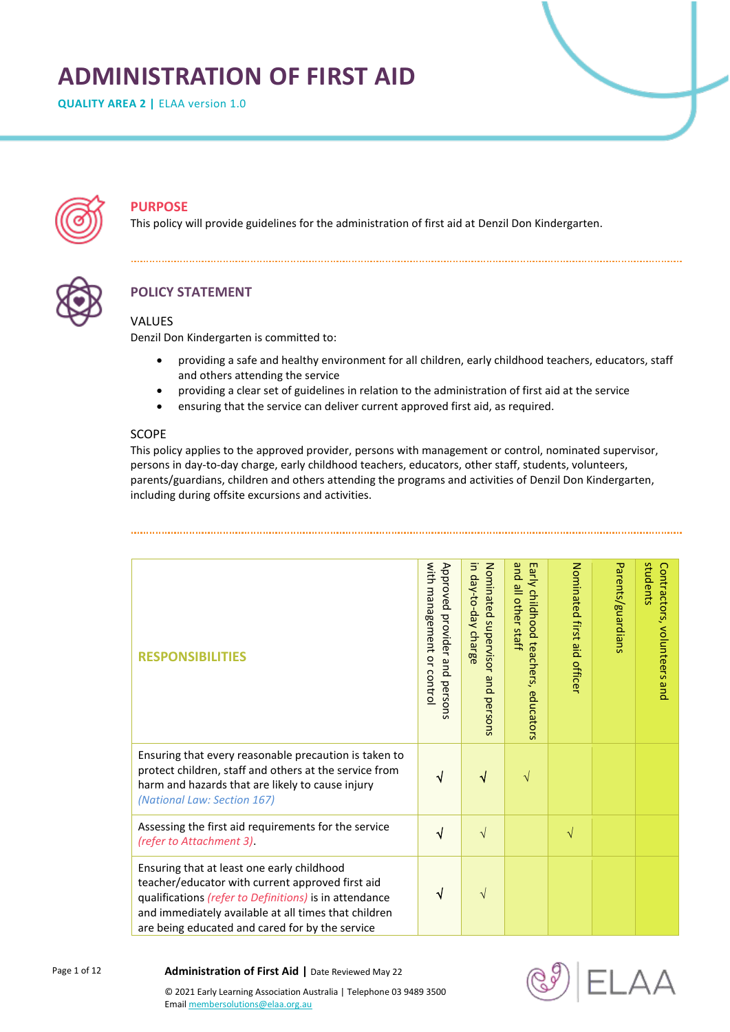# **ADMINISTRATION OF FIRST AID**

**QUALITY AREA 2 | ELAA version 1.0** 



# **PURPOSE**

This policy will provide guidelines for the administration of first aid at Denzil Don Kindergarten.



# **POLICY STATEMENT**

#### **VALUES**

Denzil Don Kindergarten is committed to:

- providing a safe and healthy environment for all children, early childhood teachers, educators, staff and others attending the service
- providing a clear set of guidelines in relation to the administration of first aid at the service
- ensuring that the service can deliver current approved first aid, as required.

#### SCOPE

This policy applies to the approved provider, persons with management or control, nominated supervisor, persons in day-to-day charge, early childhood teachers, educators, other staff, students, volunteers, parents/guardians, children and others attending the programs and activities of Denzil Don Kindergarten, including during offsite excursions and activities.

| <b>RESPONSIBILITIES</b>                                                                                                                                                                                                                                             | with management<br>Approved<br>provider and<br>$\overline{a}$<br>control<br>persons | Nominated supervisor<br>in day-to-day charge<br>and<br>persons | pue<br>Early childhood<br>all other staff<br>teachers,<br>educators | Nominated first aid<br>officer | Parents/guardians | students<br>Contractors, volunteers and |
|---------------------------------------------------------------------------------------------------------------------------------------------------------------------------------------------------------------------------------------------------------------------|-------------------------------------------------------------------------------------|----------------------------------------------------------------|---------------------------------------------------------------------|--------------------------------|-------------------|-----------------------------------------|
| Ensuring that every reasonable precaution is taken to<br>protect children, staff and others at the service from<br>harm and hazards that are likely to cause injury<br>(National Law: Section 167)                                                                  |                                                                                     |                                                                | $\mathcal{N}$                                                       |                                |                   |                                         |
| Assessing the first aid requirements for the service<br>(refer to Attachment 3)                                                                                                                                                                                     | √                                                                                   | $\sqrt{ }$                                                     |                                                                     | $\sqrt{}$                      |                   |                                         |
| Ensuring that at least one early childhood<br>teacher/educator with current approved first aid<br>qualifications (refer to Definitions) is in attendance<br>and immediately available at all times that children<br>are being educated and cared for by the service | ٦I                                                                                  | V                                                              |                                                                     |                                |                   |                                         |

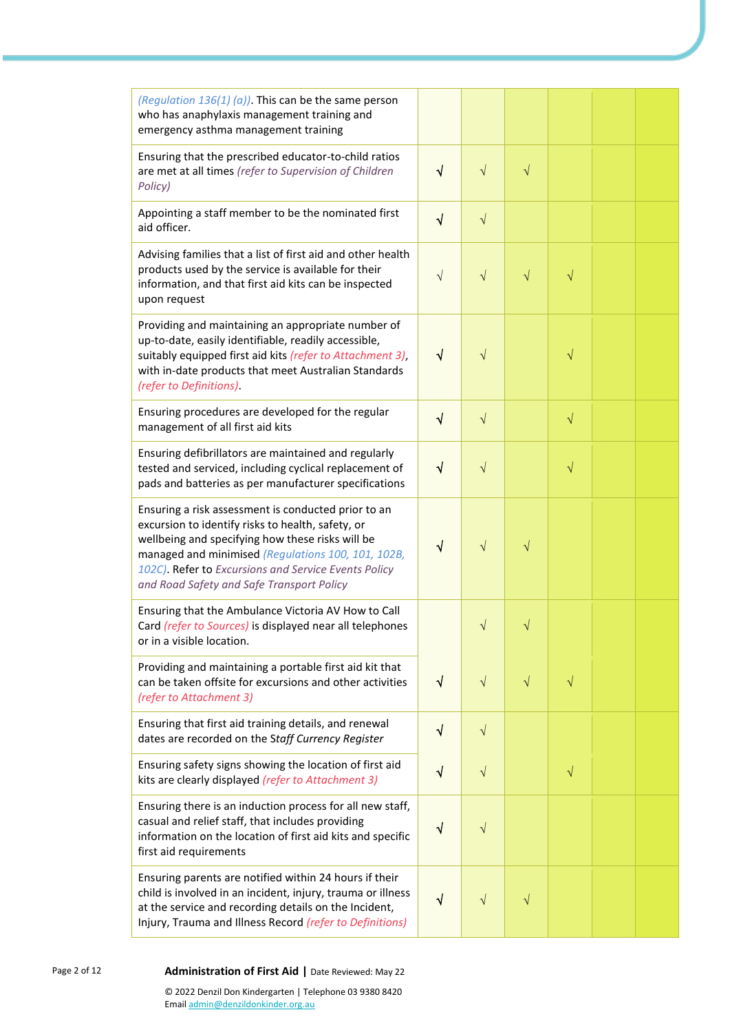| (Regulation 136(1) (a)). This can be the same person<br>who has anaphylaxis management training and<br>emergency asthma management training                                                                                                                                                                             |              |           |           |           |  |
|-------------------------------------------------------------------------------------------------------------------------------------------------------------------------------------------------------------------------------------------------------------------------------------------------------------------------|--------------|-----------|-----------|-----------|--|
| Ensuring that the prescribed educator-to-child ratios<br>are met at all times (refer to Supervision of Children<br>Policy)                                                                                                                                                                                              | $\sqrt{}$    | $\sqrt{}$ | $\sqrt{}$ |           |  |
| Appointing a staff member to be the nominated first<br>aid officer.                                                                                                                                                                                                                                                     | $\sqrt{}$    | $\sqrt{}$ |           |           |  |
| Advising families that a list of first aid and other health<br>products used by the service is available for their<br>information, and that first aid kits can be inspected<br>upon request                                                                                                                             | V            | V         | $\sqrt{}$ | V         |  |
| Providing and maintaining an appropriate number of<br>up-to-date, easily identifiable, readily accessible,<br>suitably equipped first aid kits (refer to Attachment 3),<br>with in-date products that meet Australian Standards<br>(refer to Definitions)                                                               | $\sqrt{}$    |           |           | V         |  |
| Ensuring procedures are developed for the regular<br>management of all first aid kits                                                                                                                                                                                                                                   | $\sqrt{}$    |           | $\sqrt{}$ |           |  |
| Ensuring defibrillators are maintained and regularly<br>tested and serviced, including cyclical replacement of<br>pads and batteries as per manufacturer specifications                                                                                                                                                 | $\sqrt{}$    | $\sqrt{}$ |           | $\sqrt{}$ |  |
| Ensuring a risk assessment is conducted prior to an<br>excursion to identify risks to health, safety, or<br>wellbeing and specifying how these risks will be<br>managed and minimised (Regulations 100, 101, 102B,<br>102C). Refer to Excursions and Service Events Policy<br>and Road Safety and Safe Transport Policy | ٧            | V         | V         |           |  |
| Ensuring that the Ambulance Victoria AV How to Call<br>Card (refer to Sources) is displayed near all telephones<br>or in a visible location.                                                                                                                                                                            |              | V         |           |           |  |
| Providing and maintaining a portable first aid kit that<br>can be taken offsite for excursions and other activities<br>(refer to Attachment 3)                                                                                                                                                                          | $\sqrt{}$    | $\sqrt{}$ | $\sqrt{}$ | $\sqrt{}$ |  |
| Ensuring that first aid training details, and renewal<br>dates are recorded on the Staff Currency Register                                                                                                                                                                                                              | $\sqrt{}$    | $\sqrt{}$ |           |           |  |
| Ensuring safety signs showing the location of first aid<br>kits are clearly displayed (refer to Attachment 3)                                                                                                                                                                                                           | $\checkmark$ | $\sqrt{}$ |           | $\sqrt{}$ |  |
| Ensuring there is an induction process for all new staff,<br>casual and relief staff, that includes providing<br>information on the location of first aid kits and specific<br>first aid requirements                                                                                                                   | ٦            | V         |           |           |  |
| Ensuring parents are notified within 24 hours if their<br>child is involved in an incident, injury, trauma or illness<br>at the service and recording details on the Incident,<br>Injury, Trauma and Illness Record (refer to Definitions)                                                                              | ٧            |           | V         |           |  |

#### Page 2 of 12 **Administration of First Aid** | Date Reviewed: May 22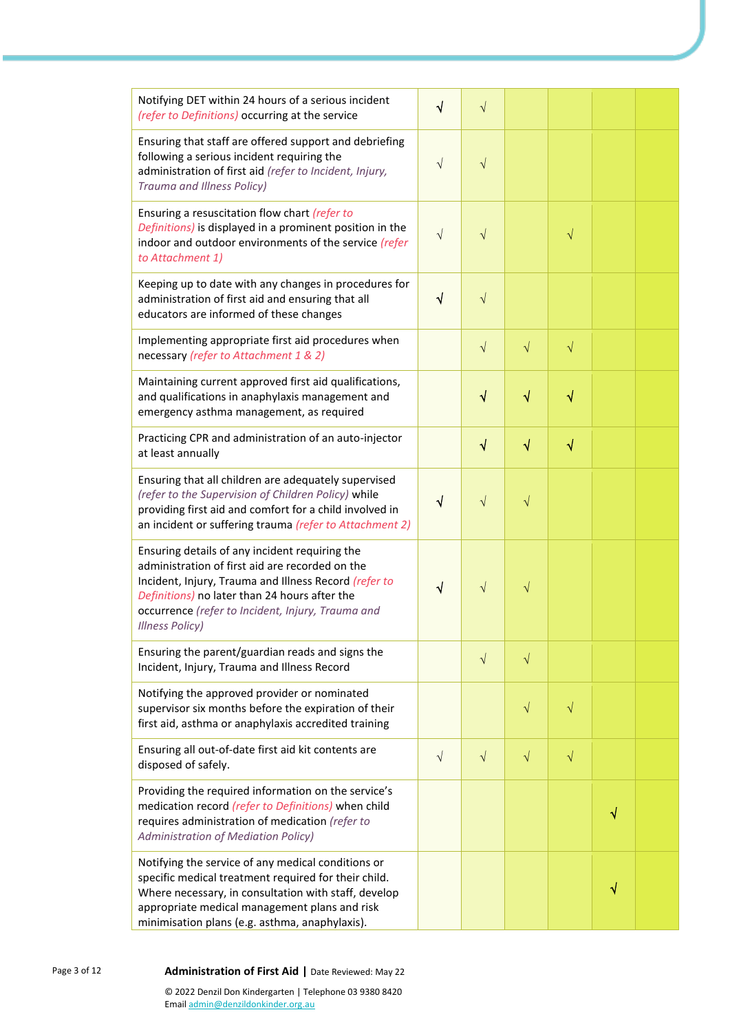| Notifying DET within 24 hours of a serious incident<br>(refer to Definitions) occurring at the service                                                                                                                                                                                     | √         | $\sqrt{}$ |           |           |   |  |
|--------------------------------------------------------------------------------------------------------------------------------------------------------------------------------------------------------------------------------------------------------------------------------------------|-----------|-----------|-----------|-----------|---|--|
| Ensuring that staff are offered support and debriefing<br>following a serious incident requiring the<br>administration of first aid (refer to Incident, Injury,<br>Trauma and Illness Policy)                                                                                              | $\sqrt{}$ | V         |           |           |   |  |
| Ensuring a resuscitation flow chart (refer to<br>Definitions) is displayed in a prominent position in the<br>indoor and outdoor environments of the service (refer<br>to Attachment 1)                                                                                                     | V         |           |           |           |   |  |
| Keeping up to date with any changes in procedures for<br>administration of first aid and ensuring that all<br>educators are informed of these changes                                                                                                                                      | $\sqrt{}$ | $\sqrt{}$ |           |           |   |  |
| Implementing appropriate first aid procedures when<br>necessary (refer to Attachment 1 & 2)                                                                                                                                                                                                |           | $\sqrt{}$ | $\sqrt{}$ | $\sqrt{}$ |   |  |
| Maintaining current approved first aid qualifications,<br>and qualifications in anaphylaxis management and<br>emergency asthma management, as required                                                                                                                                     |           | √         | √         | √         |   |  |
| Practicing CPR and administration of an auto-injector<br>at least annually                                                                                                                                                                                                                 |           | √         | $\sqrt{}$ | $\sqrt{}$ |   |  |
| Ensuring that all children are adequately supervised<br>(refer to the Supervision of Children Policy) while<br>providing first aid and comfort for a child involved in<br>an incident or suffering trauma (refer to Attachment 2)                                                          | V         |           | V         |           |   |  |
| Ensuring details of any incident requiring the<br>administration of first aid are recorded on the<br>Incident, Injury, Trauma and Illness Record (refer to<br>Definitions) no later than 24 hours after the<br>occurrence (refer to Incident, Injury, Trauma and<br><b>Illness Policy)</b> |           |           | V         |           |   |  |
| Ensuring the parent/guardian reads and signs the<br>Incident, Injury, Trauma and Illness Record                                                                                                                                                                                            |           | $\sqrt{}$ | $\sqrt{}$ |           |   |  |
| Notifying the approved provider or nominated<br>supervisor six months before the expiration of their<br>first aid, asthma or anaphylaxis accredited training                                                                                                                               |           |           | $\sqrt{}$ | $\sqrt{}$ |   |  |
| Ensuring all out-of-date first aid kit contents are<br>disposed of safely.                                                                                                                                                                                                                 | $\sqrt{}$ | $\sqrt{}$ | $\sqrt{}$ | $\sqrt{}$ |   |  |
| Providing the required information on the service's<br>medication record (refer to Definitions) when child<br>requires administration of medication (refer to<br><b>Administration of Mediation Policy)</b>                                                                                |           |           |           |           | √ |  |
| Notifying the service of any medical conditions or<br>specific medical treatment required for their child.<br>Where necessary, in consultation with staff, develop<br>appropriate medical management plans and risk<br>minimisation plans (e.g. asthma, anaphylaxis).                      |           |           |           |           | √ |  |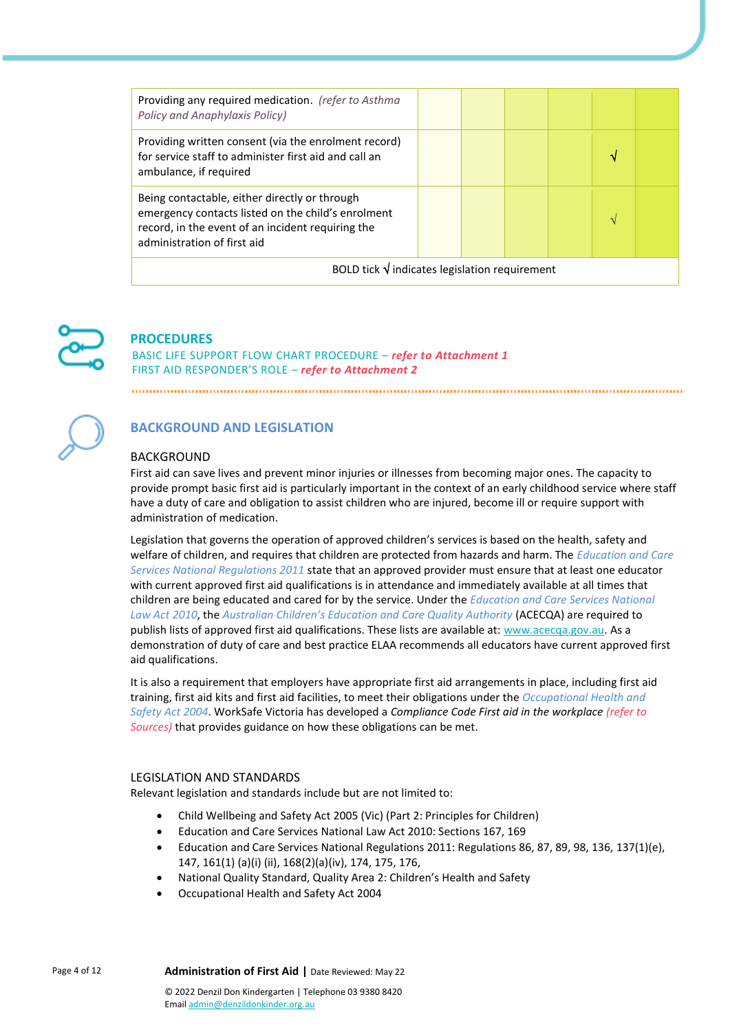| Providing any required medication. (refer to Asthma<br><b>Policy and Anaphylaxis Policy)</b>                                                                                            |  |  |  |  |   |  |
|-----------------------------------------------------------------------------------------------------------------------------------------------------------------------------------------|--|--|--|--|---|--|
| Providing written consent (via the enrolment record)<br>for service staff to administer first aid and call an<br>ambulance, if required                                                 |  |  |  |  | M |  |
| Being contactable, either directly or through<br>emergency contacts listed on the child's enrolment<br>record, in the event of an incident requiring the<br>administration of first aid |  |  |  |  |   |  |
| BOLD tick $\sqrt{}$ indicates legislation requirement                                                                                                                                   |  |  |  |  |   |  |



# **PROCEDURES**

BASIC LIFE SUPPORT FLOW CHART PROCEDURE – *refer to Attachment 1* FIRST AID RESPONDER'S ROLE – *refer to Attachment 2*



# **BACKGROUND AND LEGISLATION**

#### BACKGROUND

First aid can save lives and prevent minor injuries or illnesses from becoming major ones. The capacity to provide prompt basic first aid is particularly important in the context of an early childhood service where staff have a duty of care and obligation to assist children who are injured, become ill or require support with administration of medication.

Legislation that governs the operation of approved children's services is based on the health, safety and welfare of children, and requires that children are protected from hazards and harm. The *Education and Care Services National Regulations 2011* state that an approved provider must ensure that at least one educator with current approved first aid qualifications is in attendance and immediately available at all times that children are being educated and cared for by the service. Under the *Education and Care Services National*  Law Act 2010, the Australian Children's Education and Care Quality Authority (ACECQA) are required to publish lists of approved first aid qualifications. These lists are available at: [www.acecqa.gov.au.](http://www.acecqa.gov.au/) As a demonstration of duty of care and best practice ELAA recommends all educators have current approved first aid qualifications.

It is also a requirement that employers have appropriate first aid arrangements in place, including first aid training, first aid kits and first aid facilities, to meet their obligations under the *Occupational Health and Safety Act 2004*. WorkSafe Victoria has developed a *Compliance Code First aid in the workplace (refer to Sources)* that provides guidance on how these obligations can be met.

#### LEGISLATION AND STANDARDS

Relevant legislation and standards include but are not limited to:

- Child Wellbeing and Safety Act 2005 (Vic) (Part 2: Principles for Children)
- Education and Care Services National Law Act 2010: Sections 167, 169
- Education and Care Services National Regulations 2011: Regulations 86, 87, 89, 98, 136, 137(1)(e), 147, 161(1) (a)(i) (ii), 168(2)(a)(iv), 174, 175, 176,
- National Quality Standard, Quality Area 2: Children's Health and Safety
- Occupational Health and Safety Act 2004

Page 4 of 12 **Administration of First Aid** | Date Reviewed: May 22 © 2022 Denzil Don Kindergarten | Telephone 03 9380 8420 Emai[l admin@denzildonkinder.org.au](mailto:admin@denzildonkinder.org.au)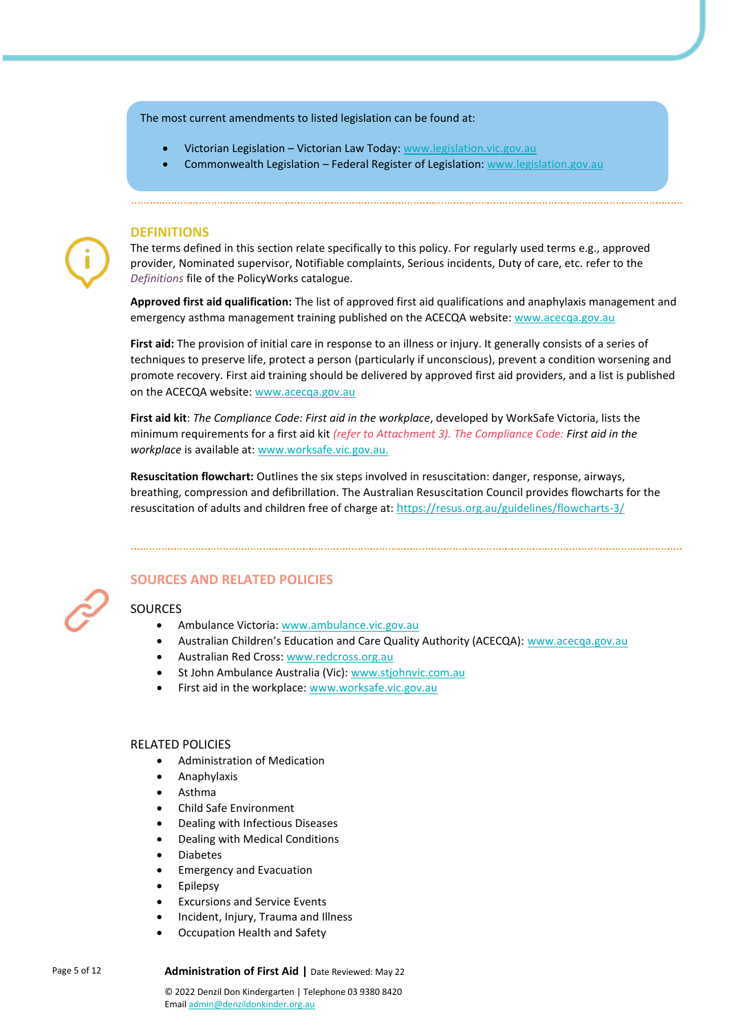#### The most current amendments to listed legislation can be found at:

- Victorian Legislation Victorian Law Today: [www.legislation.vic.gov.au](http://www.legislation.vic.gov.au/)
- Commonwealth Legislation Federal Register of Legislation[: www.legislation.gov.au](http://www.legislation.gov.au/)

#### **DEFINITIONS**

The terms defined in this section relate specifically to this policy. For regularly used terms e.g., approved provider, Nominated supervisor, Notifiable complaints, Serious incidents, Duty of care, etc. refer to the *Definitions* file of the PolicyWorks catalogue.

**Approved first aid qualification:** The list of approved first aid qualifications and anaphylaxis management and emergency asthma management training published on the ACECQA website[: www.acecqa.gov.au](http://www.acecqa.gov.au/)

**First aid:** The provision of initial care in response to an illness or injury. It generally consists of a series of techniques to preserve life, protect a person (particularly if unconscious), prevent a condition worsening and promote recovery. First aid training should be delivered by approved first aid providers, and a list is published on the ACECQA website: [www.acecqa.gov.au](https://www.acecqa.gov.au/qualifications)

**First aid kit**: *The Compliance Code: First aid in the workplace*, developed by WorkSafe Victoria, lists the minimum requirements for a first aid kit *(refer to Attachment 3). The Compliance Code: First aid in the workplace* is available at[: www.worksafe.vic.gov.au.](http://www.worksafe.vic.gov.au/)

**Resuscitation flowchart:** Outlines the six steps involved in resuscitation: danger, response, airways, breathing, compression and defibrillation. The Australian Resuscitation Council provides flowcharts for the resuscitation of adults and children free of charge at: h[ttps://resus.org.au/guidelines/flowcharts-3/](https://resus.org.au/guidelines/flowcharts-3/)



#### **SOURCES AND RELATED POLICIES**

#### **SOURCES**

- Ambulance Victoria: [www.ambulance.vic.gov.au](http://www.ambulance.vic.gov.au/)
- Australian Children's Education and Care Quality Authority (ACECQA): [www.acecqa.gov.au](http://www.acecqa.gov.au/)
- Australian Red Cross[: www.redcross.org.au](http://www.redcross.org.au/)
- St John Ambulance Australia (Vic): [www.stjohnvic.com.au](http://www.stjohnvic.com.au/)
- First aid in the workplace[: www.worksafe.vic.gov.au](http://www.worksafe.vic.gov.au/)

#### RELATED POLICIES

- Administration of Medication
- Anaphylaxis
- Asthma
- Child Safe Environment
- Dealing with Infectious Diseases
- Dealing with Medical Conditions
- Diabetes
- Emergency and Evacuation
- **Epilepsy**
- Excursions and Service Events
- Incident, Injury, Trauma and Illness
- Occupation Health and Safety

Page 5 of 12 **Administration of First Aid** | Date Reviewed: May 22

© 2022 Denzil Don Kindergarten | Telephone 03 9380 8420 Emai[l admin@denzildonkinder.org.au](mailto:admin@denzildonkinder.org.au)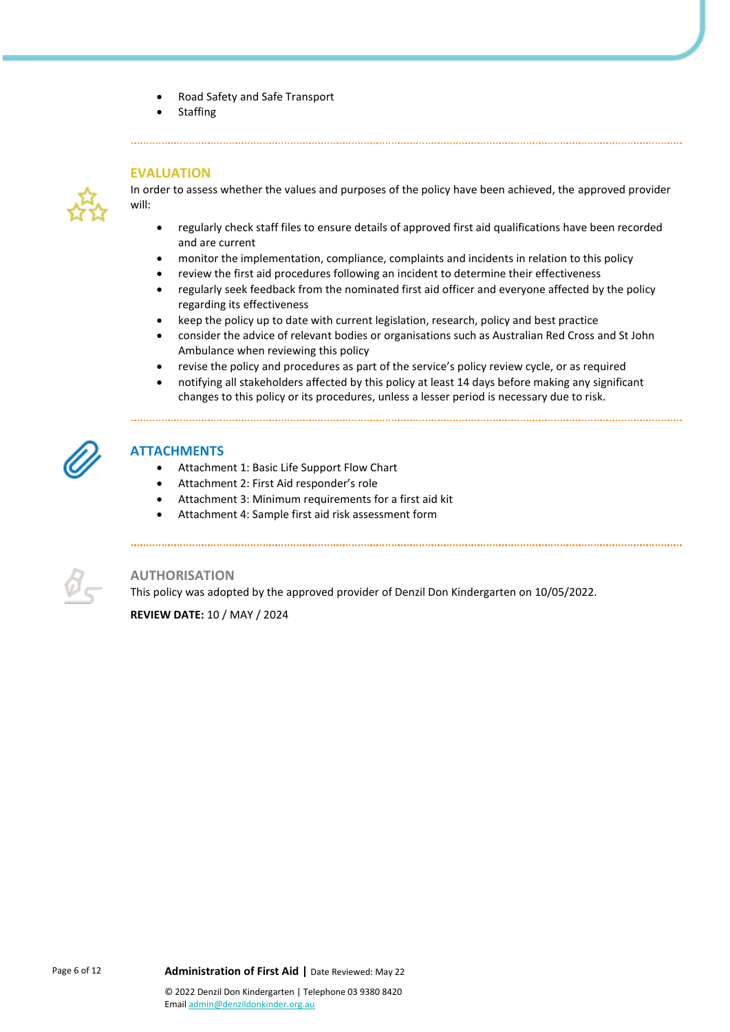- Road Safety and Safe Transport
- **Staffing**

#### **EVALUATION**



In order to assess whether the values and purposes of the policy have been achieved, the approved provider will:

- regularly check staff files to ensure details of approved first aid qualifications have been recorded and are current
- monitor the implementation, compliance, complaints and incidents in relation to this policy
- review the first aid procedures following an incident to determine their effectiveness
- regularly seek feedback from the nominated first aid officer and everyone affected by the policy regarding its effectiveness
- keep the policy up to date with current legislation, research, policy and best practice
- consider the advice of relevant bodies or organisations such as Australian Red Cross and St John Ambulance when reviewing this policy
- revise the policy and procedures as part of the service's policy review cycle, or as required
- notifying all stakeholders affected by this policy at least 14 days before making any significant changes to this policy or its procedures, unless a lesser period is necessary due to risk.

#### **ATTACHMENTS**

- Attachment 1: Basic Life Support Flow Chart
- Attachment 2: First Aid responder's role
- Attachment 3: Minimum requirements for a first aid kit
- Attachment 4: Sample first aid risk assessment form



#### **AUTHORISATION**

This policy was adopted by the approved provider of Denzil Don Kindergarten on 10/05/2022. **REVIEW DATE:** 10 / MAY / 2024

Page 6 of 12 **Administration of First Aid** | Date Reviewed: May 22 © 2022 Denzil Don Kindergarten | Telephone 03 9380 8420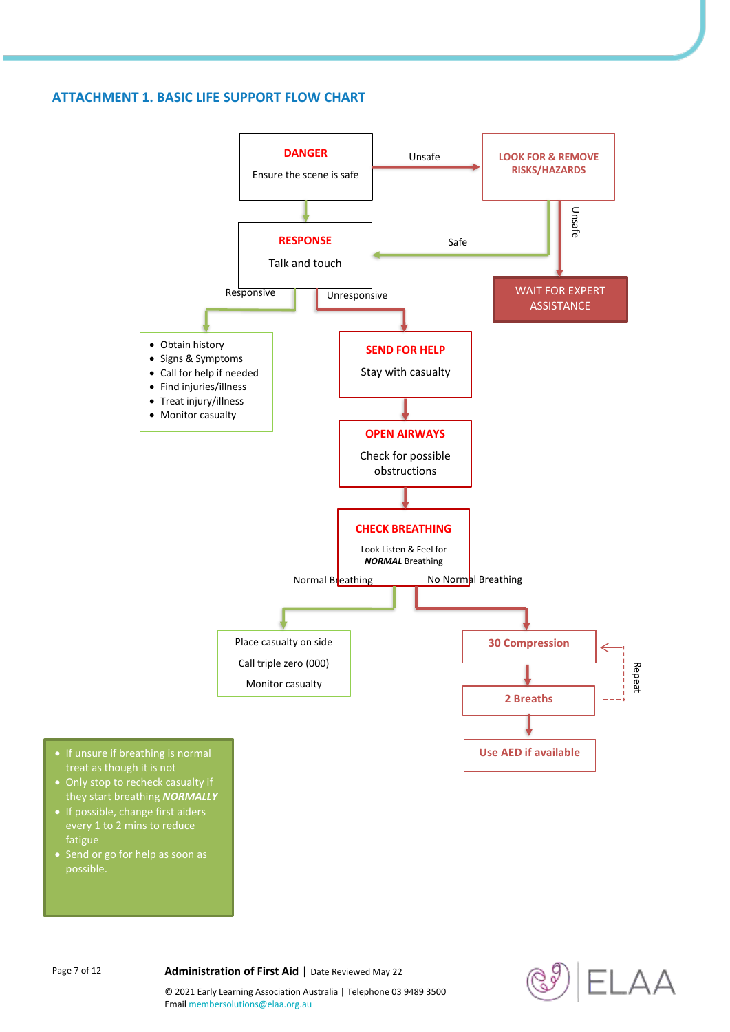### **ATTACHMENT 1. BASIC LIFE SUPPORT FLOW CHART**





© 2021 Early Learning Association Australia | Telephone 03 9489 3500

Emai[l membersolutions@elaa.org.au](mailto:membersolutions@elaa.org.au)

Page 7 of 12 **Administration of First Aid** | Date Reviewed May 22

fatigue

possible.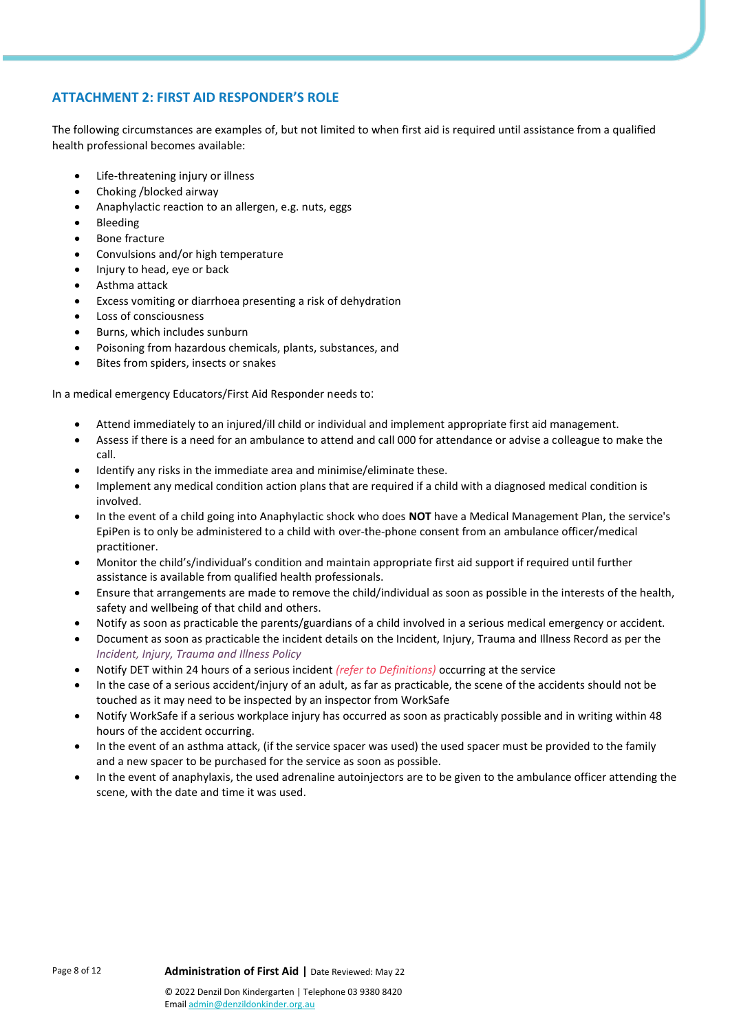# **ATTACHMENT 2: FIRST AID RESPONDER'S ROLE**

The following circumstances are examples of, but not limited to when first aid is required until assistance from a qualified health professional becomes available:

- Life-threatening injury or illness
- Choking /blocked airway
- Anaphylactic reaction to an allergen, e.g. nuts, eggs
- Bleeding
- Bone fracture
- Convulsions and/or high temperature
- Injury to head, eye or back
- Asthma attack
- Excess vomiting or diarrhoea presenting a risk of dehydration
- Loss of consciousness
- Burns, which includes sunburn
- Poisoning from hazardous chemicals, plants, substances, and
- Bites from spiders, insects or snakes

In a medical emergency Educators/First Aid Responder needs to:

- Attend immediately to an injured/ill child or individual and implement appropriate first aid management.
- Assess if there is a need for an ambulance to attend and call 000 for attendance or advise a colleague to make the call.
- Identify any risks in the immediate area and minimise/eliminate these.
- Implement any medical condition action plans that are required if a child with a diagnosed medical condition is involved.
- In the event of a child going into Anaphylactic shock who does **NOT** have a Medical Management Plan, the service's EpiPen is to only be administered to a child with over-the-phone consent from an ambulance officer/medical practitioner.
- Monitor the child's/individual's condition and maintain appropriate first aid support if required until further assistance is available from qualified health professionals.
- Ensure that arrangements are made to remove the child/individual as soon as possible in the interests of the health, safety and wellbeing of that child and others.
- Notify as soon as practicable the parents/guardians of a child involved in a serious medical emergency or accident.
- Document as soon as practicable the incident details on the Incident, Injury, Trauma and Illness Record as per the *Incident, Injury, Trauma and Illness Policy*
- Notify DET within 24 hours of a serious incident *(refer to Definitions)* occurring at the service
- In the case of a serious accident/injury of an adult, as far as practicable, the scene of the accidents should not be touched as it may need to be inspected by an inspector from WorkSafe
- Notify WorkSafe if a serious workplace injury has occurred as soon as practicably possible and in writing within 48 hours of the accident occurring.
- In the event of an asthma attack, (if the service spacer was used) the used spacer must be provided to the family and a new spacer to be purchased for the service as soon as possible.
- In the event of anaphylaxis, the used adrenaline autoinjectors are to be given to the ambulance officer attending the scene, with the date and time it was used.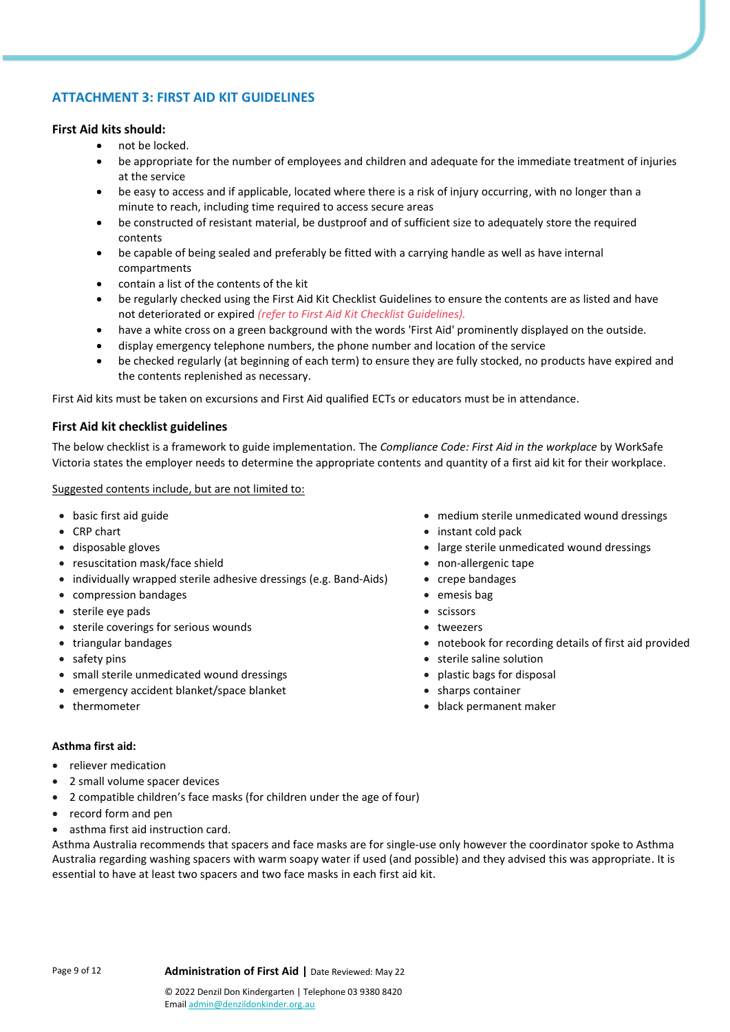# **ATTACHMENT 3: FIRST AID KIT GUIDELINES**

#### **First Aid kits should:**

- not be locked.
- be appropriate for the number of employees and children and adequate for the immediate treatment of injuries at the service
- be easy to access and if applicable, located where there is a risk of injury occurring, with no longer than a minute to reach, including time required to access secure areas
- be constructed of resistant material, be dustproof and of sufficient size to adequately store the required contents
- be capable of being sealed and preferably be fitted with a carrying handle as well as have internal compartments
- contain a list of the contents of the kit
- be regularly checked using the First Aid Kit Checklist Guidelines to ensure the contents are as listed and have not deteriorated or expired *(refer to First Aid Kit Checklist Guidelines).*
- have a white cross on a green background with the words 'First Aid' prominently displayed on the outside.
- display emergency telephone numbers, the phone number and location of the service
- be checked regularly (at beginning of each term) to ensure they are fully stocked, no products have expired and the contents replenished as necessary.

First Aid kits must be taken on excursions and First Aid qualified ECTs or educators must be in attendance.

#### **First Aid kit checklist guidelines**

The below checklist is a framework to guide implementation. The *Compliance Code: First Aid in the workplace* by WorkSafe Victoria states the employer needs to determine the appropriate contents and quantity of a first aid kit for their workplace.

#### Suggested contents include, but are not limited to:

- 
- 
- 
- resuscitation mask/face shield **•** non-allergenic tape
- individually wrapped sterile adhesive dressings (e.g. Band-Aids) crepe bandages
- compression bandages emesis bag
- sterile eye pads scissors
- sterile coverings for serious wounds tweezers
- 
- 
- small sterile unmedicated wound dressings *plastic bags for disposal*
- emergency accident blanket/space blanket sharps container
- 

#### **Asthma first aid:**

- reliever medication
- 2 small volume spacer devices
- 2 compatible children's face masks (for children under the age of four)
- record form and pen
- asthma first aid instruction card.

Asthma Australia recommends that spacers and face masks are for single-use only however the coordinator spoke to Asthma Australia regarding washing spacers with warm soapy water if used (and possible) and they advised this was appropriate. It is essential to have at least two spacers and two face masks in each first aid kit.

• basic first aid guide • medium sterile unmedicated wound dressings

- CRP chart instant cold pack instant cold pack
- disposable gloves large sterile unmedicated wound dressings
	-
	-
	-
	-
	-
- triangular bandages notebook for recording details of first aid provided
- safety pins safety pins sterile saline solution
	-
	-
- thermometer black permanent maker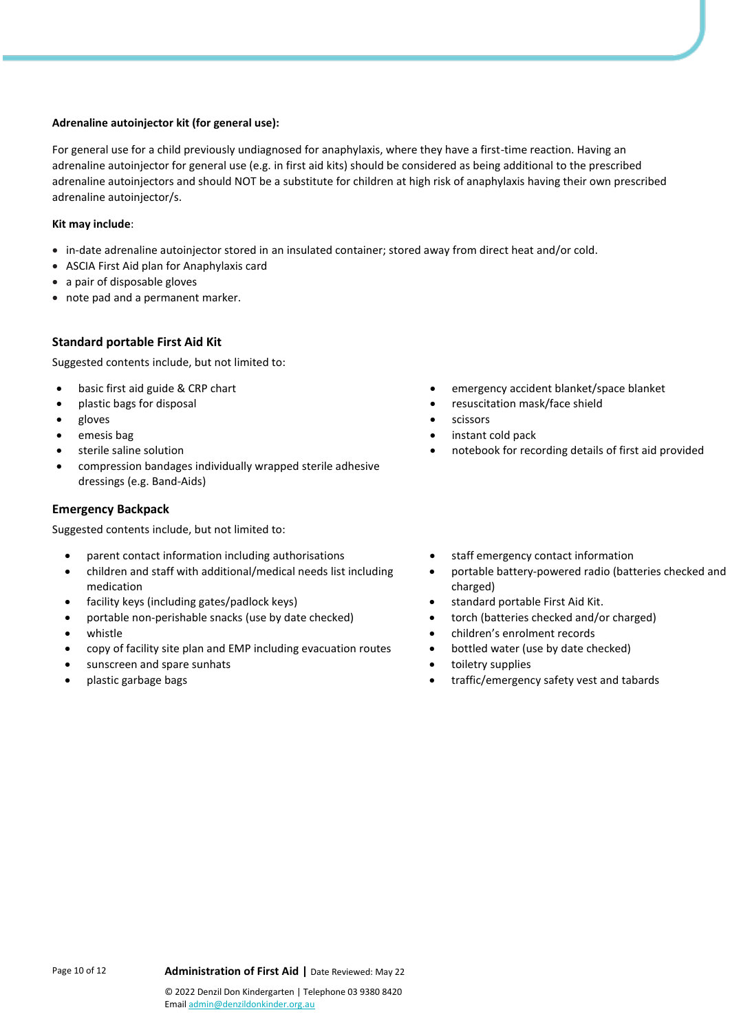#### **Adrenaline autoinjector kit (for general use):**

For general use for a child previously undiagnosed for anaphylaxis, where they have a first-time reaction. Having an adrenaline autoinjector for general use (e.g. in first aid kits) should be considered as being additional to the prescribed adrenaline autoinjectors and should NOT be a substitute for children at high risk of anaphylaxis having their own prescribed adrenaline autoinjector/s.

#### **Kit may include**:

- in-date adrenaline autoinjector stored in an insulated container; stored away from direct heat and/or cold.
- ASCIA First Aid plan for Anaphylaxis card
- a pair of disposable gloves
- note pad and a permanent marker.

#### **Standard portable First Aid Kit**

Suggested contents include, but not limited to:

- 
- 
- 
- 
- 
- compression bandages individually wrapped sterile adhesive dressings (e.g. Band-Aids)

#### **Emergency Backpack**

Suggested contents include, but not limited to:

- parent contact information including authorisations staff emergency contact information
- children and staff with additional/medical needs list including medication
- facility keys (including gates/padlock keys) standard portable First Aid Kit.
- portable non-perishable snacks (use by date checked) torch (batteries checked and/or charged)
- 
- copy of facility site plan and EMP including evacuation routes bottled water (use by date checked)
- sunscreen and spare sunhats **•** toiletry supplies
- 
- **basic first aid guide & CRP chart entity of the emergency accident blanket/space blanket**
- plastic bags for disposal  $\bullet$  resuscitation mask/face shield
- gloves scissors
- emesis bag instant cold pack
	- sterile saline solution notebook for recording details of first aid provided
		-
		- portable battery-powered radio (batteries checked and charged)
		-
		-
		- whistle children's enrolment records
			-
			-
		- plastic garbage bags traffic/emergency safety vest and tabards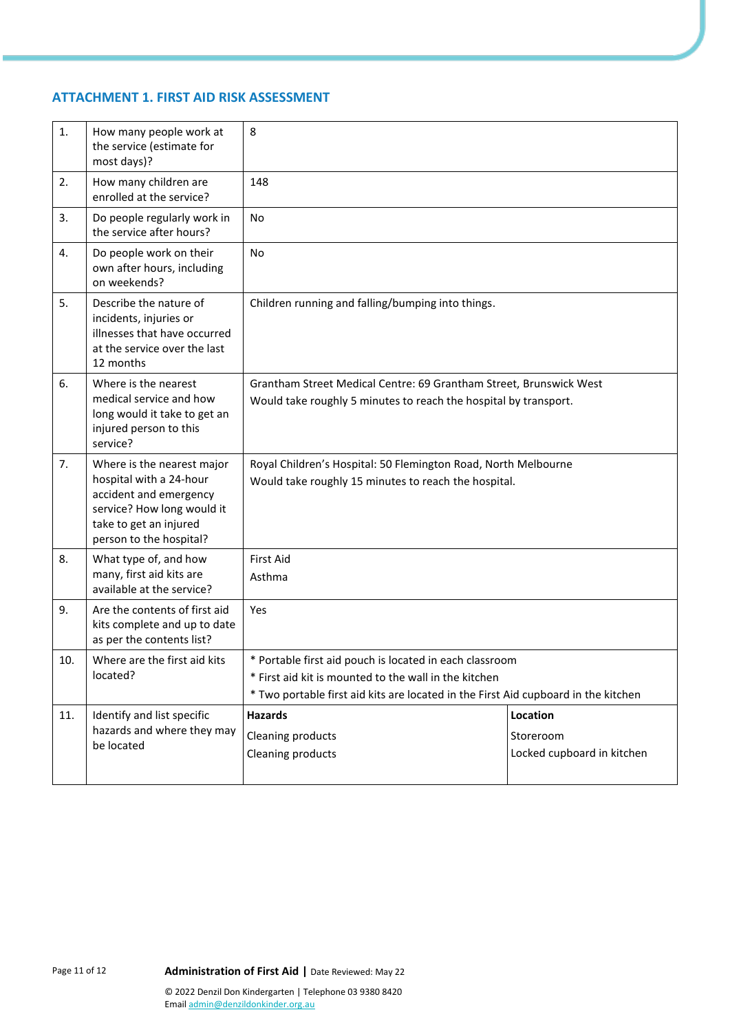# **ATTACHMENT 1. FIRST AID RISK ASSESSMENT**

| 1.  | How many people work at<br>the service (estimate for<br>most days)?                                                                                                | 8                                                                                                                                                                                                      |  |  |  |  |
|-----|--------------------------------------------------------------------------------------------------------------------------------------------------------------------|--------------------------------------------------------------------------------------------------------------------------------------------------------------------------------------------------------|--|--|--|--|
| 2.  | How many children are<br>enrolled at the service?                                                                                                                  | 148                                                                                                                                                                                                    |  |  |  |  |
| 3.  | Do people regularly work in<br>the service after hours?                                                                                                            | No                                                                                                                                                                                                     |  |  |  |  |
| 4.  | Do people work on their<br>own after hours, including<br>on weekends?                                                                                              | No                                                                                                                                                                                                     |  |  |  |  |
| 5.  | Describe the nature of<br>incidents, injuries or<br>illnesses that have occurred<br>at the service over the last<br>12 months                                      | Children running and falling/bumping into things.                                                                                                                                                      |  |  |  |  |
| 6.  | Where is the nearest<br>medical service and how<br>long would it take to get an<br>injured person to this<br>service?                                              | Grantham Street Medical Centre: 69 Grantham Street, Brunswick West<br>Would take roughly 5 minutes to reach the hospital by transport.                                                                 |  |  |  |  |
| 7.  | Where is the nearest major<br>hospital with a 24-hour<br>accident and emergency<br>service? How long would it<br>take to get an injured<br>person to the hospital? | Royal Children's Hospital: 50 Flemington Road, North Melbourne<br>Would take roughly 15 minutes to reach the hospital.                                                                                 |  |  |  |  |
| 8.  | What type of, and how<br>many, first aid kits are<br>available at the service?                                                                                     | <b>First Aid</b><br>Asthma                                                                                                                                                                             |  |  |  |  |
| 9.  | Are the contents of first aid<br>kits complete and up to date<br>as per the contents list?                                                                         | Yes                                                                                                                                                                                                    |  |  |  |  |
| 10. | Where are the first aid kits<br>located?                                                                                                                           | * Portable first aid pouch is located in each classroom<br>* First aid kit is mounted to the wall in the kitchen<br>* Two portable first aid kits are located in the First Aid cupboard in the kitchen |  |  |  |  |
| 11. | Identify and list specific<br>hazards and where they may<br>be located                                                                                             | <b>Hazards</b><br>Location<br>Cleaning products<br>Storeroom<br>Locked cupboard in kitchen<br>Cleaning products                                                                                        |  |  |  |  |